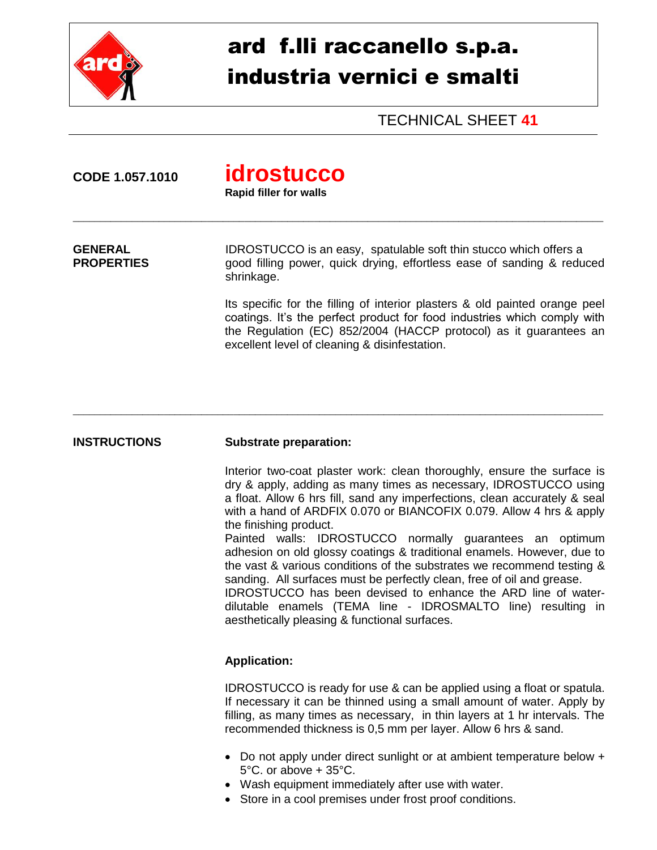

# ard f.lli raccanello s.p.a. industria vernici e smalti

TECHNICAL SHEET **41**

**CODE 1.057.1010 idrostucco**

**Rapid filler for walls** 

**GENERAL** IDROSTUCCO is an easy, spatulable soft thin stucco which offers a<br> **PROPERTIES** a and filling power, quick drying, effortless ease of sanding & redu **PROPERTIES** good filling power, quick drying, effortless ease of sanding & reduced shrinkage.

\_\_\_\_\_\_\_\_\_\_\_\_\_\_\_\_\_\_\_\_\_\_\_\_\_\_\_\_\_\_\_\_\_\_\_\_\_\_\_\_\_\_\_\_\_\_\_\_\_\_\_\_\_\_\_\_\_\_\_\_\_\_\_\_\_\_\_\_\_\_\_\_\_\_\_\_\_\_\_\_\_\_\_\_\_\_\_\_\_\_\_\_\_\_\_\_\_\_\_

\_\_\_\_\_\_\_\_\_\_\_\_\_\_\_\_\_\_\_\_\_\_\_\_\_\_\_\_\_\_\_\_\_\_\_\_\_\_\_\_\_\_\_\_\_\_\_\_\_\_\_\_\_\_\_\_\_\_\_\_\_\_\_\_\_\_\_\_\_\_\_\_\_\_\_\_\_\_\_\_\_\_\_\_\_\_\_\_\_\_\_\_\_\_\_\_\_\_\_

Its specific for the filling of interior plasters & old painted orange peel coatings. It's the perfect product for food industries which comply with the Regulation (EC) 852/2004 (HACCP protocol) as it guarantees an excellent level of cleaning & disinfestation.

#### **INSTRUCTIONS Substrate preparation:**

Interior two-coat plaster work: clean thoroughly, ensure the surface is dry & apply, adding as many times as necessary, IDROSTUCCO using a float. Allow 6 hrs fill, sand any imperfections, clean accurately & seal with a hand of ARDFIX 0.070 or BIANCOFIX 0.079. Allow 4 hrs & apply the finishing product.

Painted walls: IDROSTUCCO normally guarantees an optimum adhesion on old glossy coatings & traditional enamels. However, due to the vast & various conditions of the substrates we recommend testing & sanding. All surfaces must be perfectly clean, free of oil and grease.

IDROSTUCCO has been devised to enhance the ARD line of waterdilutable enamels (TEMA line - IDROSMALTO line) resulting in aesthetically pleasing & functional surfaces.

#### **Application:**

IDROSTUCCO is ready for use & can be applied using a float or spatula. If necessary it can be thinned using a small amount of water. Apply by filling, as many times as necessary, in thin layers at 1 hr intervals. The recommended thickness is 0,5 mm per layer. Allow 6 hrs & sand.

- Do not apply under direct sunlight or at ambient temperature below + 5°C. or above + 35°C.
- Wash equipment immediately after use with water.
- Store in a cool premises under frost proof conditions.